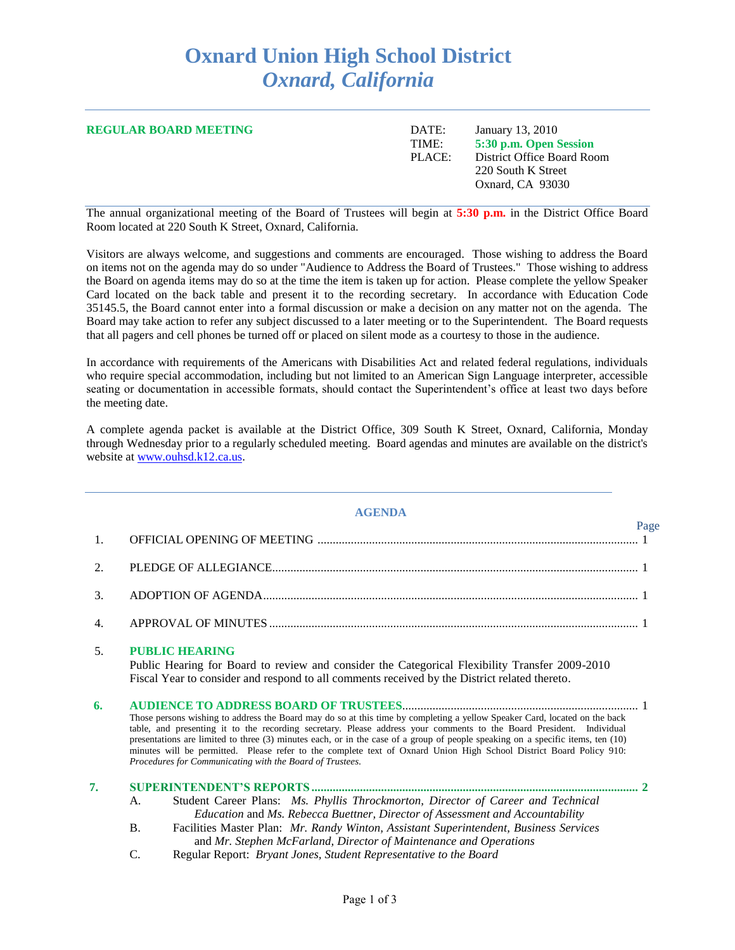# **Oxnard Union High School District** *Oxnard, California*

| <b>REGULAR BOARD MEETING</b> | DATE:  | January 13, 2010           |
|------------------------------|--------|----------------------------|
|                              | TIME:  | 5:30 p.m. Open Session     |
|                              | PLACE: | District Office Board Room |
|                              |        | 220 South K Street         |
|                              |        | Oxnard, CA 93030           |
|                              |        |                            |

The annual organizational meeting of the Board of Trustees will begin at **5:30 p.m.** in the District Office Board Room located at 220 South K Street, Oxnard, California.

Visitors are always welcome, and suggestions and comments are encouraged. Those wishing to address the Board on items not on the agenda may do so under "Audience to Address the Board of Trustees." Those wishing to address the Board on agenda items may do so at the time the item is taken up for action. Please complete the yellow Speaker Card located on the back table and present it to the recording secretary. In accordance with Education Code 35145.5, the Board cannot enter into a formal discussion or make a decision on any matter not on the agenda. The Board may take action to refer any subject discussed to a later meeting or to the Superintendent. The Board requests that all pagers and cell phones be turned off or placed on silent mode as a courtesy to those in the audience.

In accordance with requirements of the Americans with Disabilities Act and related federal regulations, individuals who require special accommodation, including but not limited to an American Sign Language interpreter, accessible seating or documentation in accessible formats, should contact the Superintendent's office at least two days before the meeting date.

A complete agenda packet is available at the District Office, 309 South K Street, Oxnard, California, Monday through Wednesday prior to a regularly scheduled meeting. Board agendas and minutes are available on the district's website at [www.ouhsd.k12.ca.us.](http://www.ouhsd.k12.ca.us/)

#### **AGENDA**

|    |                                                                                                                                                                                                                                                                                                                                                                                                                                                                                                                                                                          | Page |
|----|--------------------------------------------------------------------------------------------------------------------------------------------------------------------------------------------------------------------------------------------------------------------------------------------------------------------------------------------------------------------------------------------------------------------------------------------------------------------------------------------------------------------------------------------------------------------------|------|
| 1. |                                                                                                                                                                                                                                                                                                                                                                                                                                                                                                                                                                          |      |
| 2. |                                                                                                                                                                                                                                                                                                                                                                                                                                                                                                                                                                          |      |
| 3. |                                                                                                                                                                                                                                                                                                                                                                                                                                                                                                                                                                          |      |
| 4. |                                                                                                                                                                                                                                                                                                                                                                                                                                                                                                                                                                          |      |
| 5. | <b>PUBLIC HEARING</b><br>Public Hearing for Board to review and consider the Categorical Flexibility Transfer 2009-2010<br>Fiscal Year to consider and respond to all comments received by the District related thereto.                                                                                                                                                                                                                                                                                                                                                 |      |
| 6. | Those persons wishing to address the Board may do so at this time by completing a yellow Speaker Card, located on the back<br>table, and presenting it to the recording secretary. Please address your comments to the Board President. Individual<br>presentations are limited to three (3) minutes each, or in the case of a group of people speaking on a specific items, ten (10)<br>minutes will be permitted. Please refer to the complete text of Oxnard Union High School District Board Policy 910:<br>Procedures for Communicating with the Board of Trustees. |      |
| 7. | Student Career Plans: Ms. Phyllis Throckmorton, Director of Career and Technical<br>A.<br>Education and Ms. Rebecca Buettner, Director of Assessment and Accountability<br><b>B.</b><br>Facilities Master Plan: Mr. Randy Winton, Assistant Superintendent, Business Services<br>and Mr. Stephen McFarland, Director of Maintenance and Operations                                                                                                                                                                                                                       |      |

C. Regular Report: *Bryant Jones, Student Representative to the Board*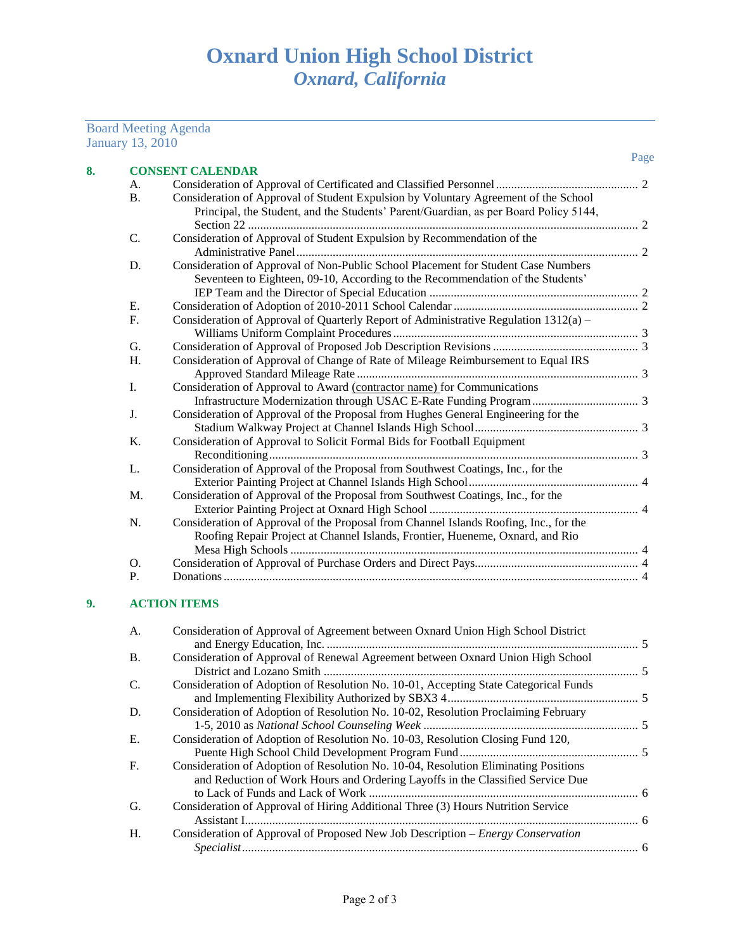#### January 13, 2010 Page **8. CONSENT CALENDAR** A. Consideration of Approval of Certificated and Classified Personnel............................................... 2 B. Consideration of Approval of Student Expulsion by Voluntary Agreement of the School Principal, the Student, and the Students' Parent/Guardian, as per Board Policy 5144, Section 22 ................................................................................................................................. 2 C. Consideration of Approval of Student Expulsion by Recommendation of the Administrative Panel................................................................................................................. 2 D. Consideration of Approval of Non-Public School Placement for Student Case Numbers Seventeen to Eighteen, 09-10, According to the Recommendation of the Students' IEP Team and the Director of Special Education ..................................................................... 2 E. Consideration of Adoption of 2010-2011 School Calendar............................................................. 2 F. Consideration of Approval of Quarterly Report of Administrative Regulation 1312(a) – Williams Uniform Complaint Procedures................................................................................. 3 G. Consideration of Approval of Proposed Job Description Revisions ................................................ 3 H. Consideration of Approval of Change of Rate of Mileage Reimbursement to Equal IRS Approved Standard Mileage Rate ............................................................................................. 3 I. Consideration of Approval to Award (contractor name) for Communications Infrastructure Modernization through USAC E-Rate Funding Program................................... 3 J. Consideration of Approval of the Proposal from Hughes General Engineering for the Stadium Walkway Project at Channel Islands High School...................................................... 3 K. Consideration of Approval to Solicit Formal Bids for Football Equipment Reconditioning.......................................................................................................................... 3 L. Consideration of Approval of the Proposal from Southwest Coatings, Inc., for the Exterior Painting Project at Channel Islands High School........................................................ 4 M. Consideration of Approval of the Proposal from Southwest Coatings, Inc., for the Exterior Painting Project at Oxnard High School ..................................................................... 4 N. Consideration of Approval of the Proposal from Channel Islands Roofing, Inc., for the Roofing Repair Project at Channel Islands, Frontier, Hueneme, Oxnard, and Rio Mesa High Schools ................................................................................................................... 4 O. Consideration of Approval of Purchase Orders and Direct Pays...................................................... 4 P. Donations......................................................................................................................................... 4

### **9. ACTION ITEMS**

Board Meeting Agenda

| A.          | Consideration of Approval of Agreement between Oxnard Union High School District     |  |
|-------------|--------------------------------------------------------------------------------------|--|
| <b>B.</b>   | Consideration of Approval of Renewal Agreement between Oxnard Union High School      |  |
|             |                                                                                      |  |
| C.          | Consideration of Adoption of Resolution No. 10-01, Accepting State Categorical Funds |  |
|             |                                                                                      |  |
| D.          | Consideration of Adoption of Resolution No. 10-02, Resolution Proclaiming February   |  |
|             |                                                                                      |  |
| E.          | Consideration of Adoption of Resolution No. 10-03, Resolution Closing Fund 120,      |  |
|             |                                                                                      |  |
| $F_{\cdot}$ | Consideration of Adoption of Resolution No. 10-04, Resolution Eliminating Positions  |  |
|             | and Reduction of Work Hours and Ordering Layoffs in the Classified Service Due       |  |
|             |                                                                                      |  |
| G.          | Consideration of Approval of Hiring Additional Three (3) Hours Nutrition Service     |  |
|             |                                                                                      |  |
| Н.          | Consideration of Approval of Proposed New Job Description – Energy Conservation      |  |
|             |                                                                                      |  |
|             |                                                                                      |  |